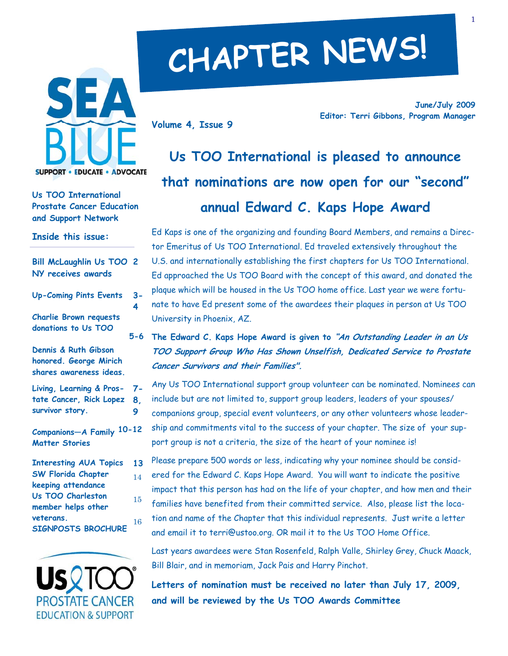

**Us TOO International Prostate Cancer Education and Support Network** 

**Inside this issue:** 

| <b>Bill McLaughlin Us TOO 2</b><br>NY receives awards                                                        |           |
|--------------------------------------------------------------------------------------------------------------|-----------|
| <b>Up-Coming Pints Events</b>                                                                                | $3-$<br>4 |
| <b>Charlie Brown requests</b><br>donations to Us TOO                                                         | $5 - 6$   |
| Dennis & Ruth Gibson<br>honored. George Mirich<br>shares awareness ideas.                                    |           |
| Living, Learning & Pros- 7-<br>tate Cancer, Rick Lopez 8.<br>survivor story.                                 | 9         |
| Companions-A Family 10-12<br><b>Matter Stories</b>                                                           |           |
| <b>Interesting AUA Topics</b><br><b>SW Florida Chapter</b><br>keeping attendance<br><b>Us TOO Charleston</b> | 13<br>14  |
| member helps other<br>veterans.<br><b>SIGNPOSTS BROCHURE</b>                                                 | 15<br>16  |



# **CHAPTER NEWS!**

**Volume 4, Issue 9** 

**June/July 2009 Editor: Terri Gibbons, Program Manager** 

**Us TOO International is pleased to announce that nominations are now open for our "second" annual Edward C. Kaps Hope Award** 

Ed Kaps is one of the organizing and founding Board Members, and remains a Director Emeritus of Us TOO International. Ed traveled extensively throughout the U.S. and internationally establishing the first chapters for Us TOO International. Ed approached the Us TOO Board with the concept of this award, and donated the plaque which will be housed in the Us TOO home office. Last year we were fortunate to have Ed present some of the awardees their plaques in person at Us TOO University in Phoenix, AZ.

**The Edward C. Kaps Hope Award is given to "An Outstanding Leader in an Us TOO Support Group Who Has Shown Unselfish, Dedicated Service to Prostate Cancer Survivors and their Families".** 

Any Us TOO International support group volunteer can be nominated. Nominees can include but are not limited to, support group leaders, leaders of your spouses/ companions group, special event volunteers, or any other volunteers whose leadership and commitments vital to the success of your chapter. The size of your support group is not a criteria, the size of the heart of your nominee is!

Please prepare 500 words or less, indicating why your nominee should be considered for the Edward C. Kaps Hope Award. You will want to indicate the positive impact that this person has had on the life of your chapter, and how men and their

families have benefited from their committed service. Also, please list the location and name of the Chapter that this individual represents. Just write a letter and email it to terri@ustoo.org. OR mail it to the Us TOO Home Office.

Last years awardees were Stan Rosenfeld, Ralph Valle, Shirley Grey, Chuck Maack, Bill Blair, and in memoriam, Jack Pais and Harry Pinchot.

**Letters of nomination must be received no later than July 17, 2009, and will be reviewed by the Us TOO Awards Committee**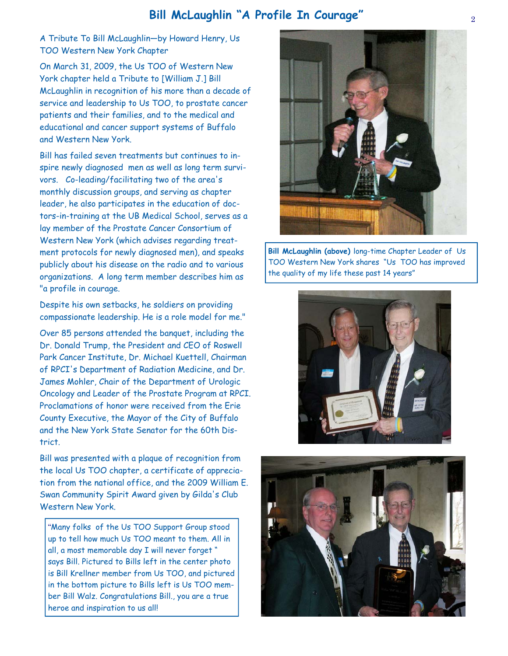# <sup>2</sup>**Bill McLaughlin "A Profile In Courage"**

A Tribute To Bill McLaughlin—by Howard Henry, Us TOO Western New York Chapter

On March 31, 2009, the Us TOO of Western New York chapter held a Tribute to [William J.] Bill McLaughlin in recognition of his more than a decade of service and leadership to Us TOO, to prostate cancer patients and their families, and to the medical and educational and cancer support systems of Buffalo and Western New York.

Bill has failed seven treatments but continues to inspire newly diagnosed men as well as long term survivors. Co-leading/facilitating two of the area's monthly discussion groups, and serving as chapter leader, he also participates in the education of doctors-in-training at the UB Medical School, serves as a lay member of the Prostate Cancer Consortium of Western New York (which advises regarding treatment protocols for newly diagnosed men), and speaks publicly about his disease on the radio and to various organizations. A long term member describes him as "a profile in courage.

Despite his own setbacks, he soldiers on providing compassionate leadership. He is a role model for me."

Over 85 persons attended the banquet, including the Dr. Donald Trump, the President and CEO of Roswell Park Cancer Institute, Dr. Michael Kuettell, Chairman of RPCI's Department of Radiation Medicine, and Dr. James Mohler, Chair of the Department of Urologic Oncology and Leader of the Prostate Program at RPCI. Proclamations of honor were received from the Erie County Executive, the Mayor of the City of Buffalo and the New York State Senator for the 60th District.

Bill was presented with a plaque of recognition from the local Us TOO chapter, a certificate of appreciation from the national office, and the 2009 William E. Swan Community Spirit Award given by Gilda's Club Western New York.

"Many folks of the Us TOO Support Group stood up to tell how much Us TOO meant to them. All in all, a most memorable day I will never forget " says Bill. Pictured to Bills left in the center photo is Bill Krellner member from Us TOO, and pictured in the bottom picture to Bills left is Us TOO member Bill Walz. Congratulations Bill., you are a true heroe and inspiration to us all!



**Bill McLaughlin (above)** long-time Chapter Leader of Us TOO Western New York shares "Us TOO has improved the quality of my life these past 14 years"



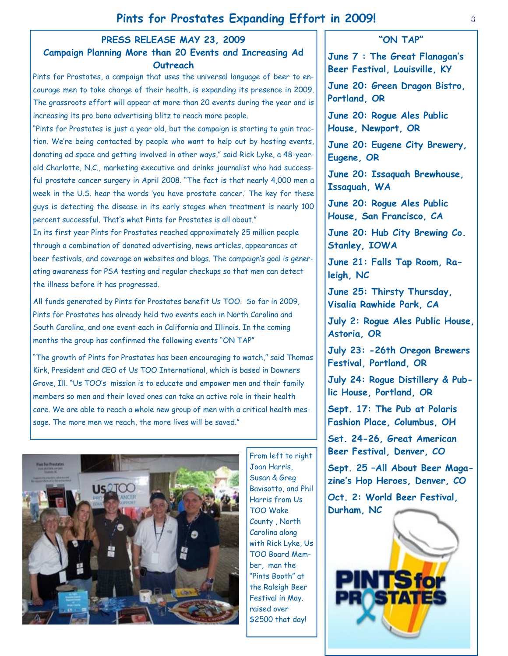## **PRESS RELEASE MAY 23, 2009**

## **Campaign Planning More than 20 Events and Increasing Ad Outreach**

Pints for Prostates, a campaign that uses the universal language of beer to encourage men to take charge of their health, is expanding its presence in 2009. The grassroots effort will appear at more than 20 events during the year and is increasing its pro bono advertising blitz to reach more people.

"Pints for Prostates is just a year old, but the campaign is starting to gain traction. We're being contacted by people who want to help out by hosting events, donating ad space and getting involved in other ways," said Rick Lyke, a 48-yearold Charlotte, N.C., marketing executive and drinks journalist who had successful prostate cancer surgery in April 2008. "The fact is that nearly 4,000 men a week in the U.S. hear the words 'you have prostate cancer.' The key for these guys is detecting the disease in its early stages when treatment is nearly 100 percent successful. That's what Pints for Prostates is all about."

In its first year Pints for Prostates reached approximately 25 million people through a combination of donated advertising, news articles, appearances at beer festivals, and coverage on websites and blogs. The campaign's goal is generating awareness for PSA testing and regular checkups so that men can detect the illness before it has progressed.

All funds generated by Pints for Prostates benefit Us TOO. So far in 2009, Pints for Prostates has already held two events each in North Carolina and South Carolina, and one event each in California and Illinois. In the coming months the group has confirmed the following events "ON TAP"

"The growth of Pints for Prostates has been encouraging to watch," said Thomas Kirk, President and CEO of Us TOO International, which is based in Downers Grove, Ill. "Us TOO's mission is to educate and empower men and their family members so men and their loved ones can take an active role in their health care. We are able to reach a whole new group of men with a critical health message. The more men we reach, the more lives will be saved."



From left to right Joan Harris, Susan & Greg Bavisotto, and Phil Harris from Us TOO Wake County , North Carolina along with Rick Lyke, Us TOO Board Member, man the "Pints Booth" at the Raleigh Beer Festival in May. raised over \$2500 that day!

## **"ON TAP"**

3

**June 7 : The Great Flanagan's Beer Festival, Louisville, KY** 

**June 20: Green Dragon Bistro, Portland, OR** 

**June 20: Rogue Ales Public House, Newport, OR** 

**June 20: Eugene City Brewery, Eugene, OR** 

**June 20: Issaquah Brewhouse, Issaquah, WA** 

**June 20: Rogue Ales Public House, San Francisco, CA** 

**June 20: Hub City Brewing Co. Stanley, IOWA** 

**June 21: Falls Tap Room, Raleigh, NC** 

**June 25: Thirsty Thursday, Visalia Rawhide Park, CA** 

**July 2: Rogue Ales Public House, Astoria, OR** 

**July 23: -26th Oregon Brewers Festival, Portland, OR** 

**July 24: Rogue Distillery & Public House, Portland, OR** 

**Sept. 17: The Pub at Polaris Fashion Place, Columbus, OH** 

**Set. 24-26, Great American Beer Festival, Denver, CO** 

**Sept. 25 –All About Beer Magazine's Hop Heroes, Denver, CO** 

**Oct. 2: World Beer Festival, Durham, NC**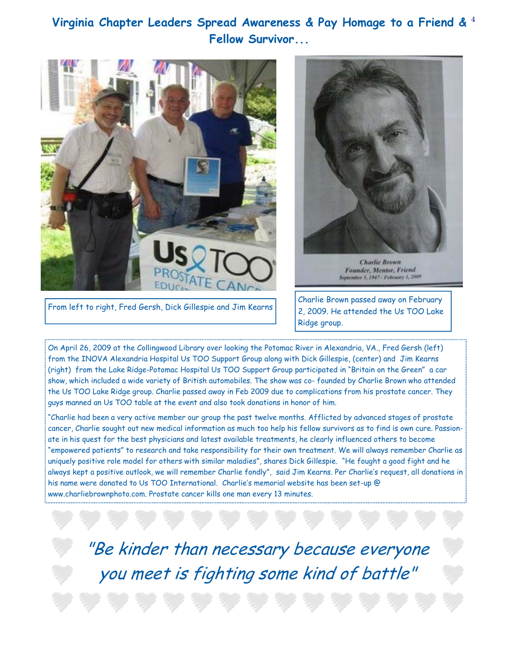# 4 **Virginia Chapter Leaders Spread Awareness & Pay Homage to a Friend & Fellow Survivor...**





Founder, Mentor, Friend September 5, 1947 - February 1, 2009

From left to right, Fred Gersh, Dick Gillespie and Jim Kearns Charlie Brown passed away on February 2, 2009. He attended the Us TOO Lake Ridge group.

On April 26, 2009 at the Collingwood Library over looking the Potomac River in Alexandria, VA., Fred Gersh (left) from the INOVA Alexandria Hospital Us TOO Support Group along with Dick Gillespie, (center) and Jim Kearns (right) from the Lake Ridge-Potomac Hospital Us TOO Support Group participated in "Britain on the Green" a car show, which included a wide variety of British automobiles. The show was co- founded by Charlie Brown who attended the Us TOO Lake Ridge group. Charlie passed away in Feb 2009 due to complications from his prostate cancer. They guys manned an Us TOO table at the event and also took donations in honor of him.

"Charlie had been a very active member our group the past twelve months. Afflicted by advanced stages of prostate cancer, Charlie sought out new medical information as much too help his fellow survivors as to find is own cure. Passionate in his quest for the best physicians and latest available treatments, he clearly influenced others to become "empowered patients" to research and take responsibility for their own treatment. We will always remember Charlie as uniquely positive role model for others with similar maladies", shares Dick Gillespie. "He fought a good fight and he always kept a positive outlook, we will remember Charlie fondly", said Jim Kearns. Per Charlie's request, all donations in his name were donated to Us TOO International. Charlie's memorial website has been set-up @ www.charliebrownphoto.com. Prostate cancer kills one man every 13 minutes.

"Be kinder than necessary because everyone you meet is fighting some kind of battle"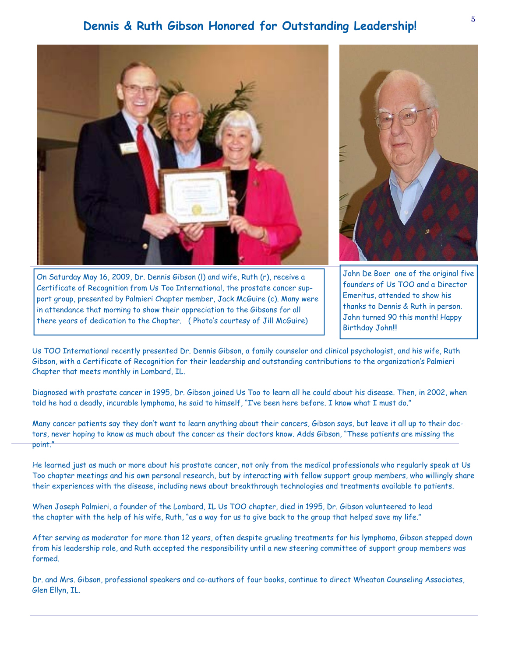# **Dennis & Ruth Gibson Honored for Outstanding Leadership!**



Us TOO International recently presented Dr. Dennis Gibson, a family counselor and clinical psychologist, and his wife, Ruth Gibson, with a Certificate of Recognition for their leadership and outstanding contributions to the organization's Palmieri Chapter that meets monthly in Lombard, IL.

Diagnosed with prostate cancer in 1995, Dr. Gibson joined Us Too to learn all he could about his disease. Then, in 2002, when told he had a deadly, incurable lymphoma, he said to himself, "I've been here before. I know what I must do."

Many cancer patients say they don't want to learn anything about their cancers, Gibson says, but leave it all up to their doctors, never hoping to know as much about the cancer as their doctors know. Adds Gibson, "These patients are missing the point."

He learned just as much or more about his prostate cancer, not only from the medical professionals who regularly speak at Us Too chapter meetings and his own personal research, but by interacting with fellow support group members, who willingly share their experiences with the disease, including news about breakthrough technologies and treatments available to patients.

When Joseph Palmieri, a founder of the Lombard, IL Us TOO chapter, died in 1995, Dr. Gibson volunteered to lead the chapter with the help of his wife, Ruth, "as a way for us to give back to the group that helped save my life."

After serving as moderator for more than 12 years, often despite grueling treatments for his lymphoma, Gibson stepped down from his leadership role, and Ruth accepted the responsibility until a new steering committee of support group members was formed.

Dr. and Mrs. Gibson, professional speakers and co-authors of four books, continue to direct Wheaton Counseling Associates, Glen Ellyn, IL.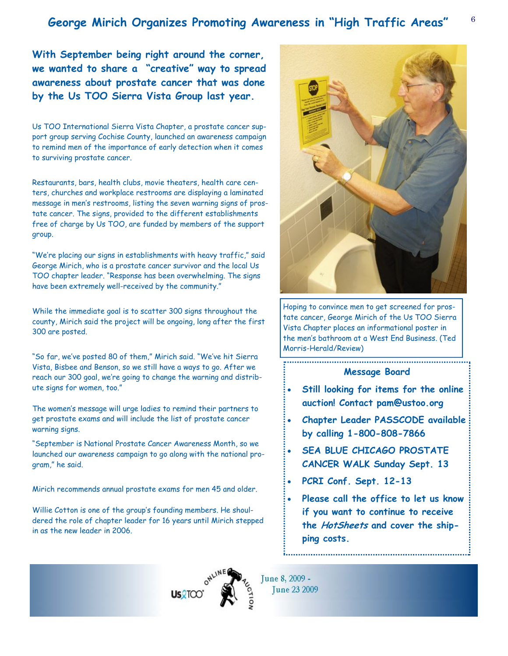# <sup>6</sup>**George Mirich Organizes Promoting Awareness in "High Traffic Areas"**

**With September being right around the corner, we wanted to share a "creative" way to spread awareness about prostate cancer that was done by the Us TOO Sierra Vista Group last year.** 

Us TOO International Sierra Vista Chapter, a prostate cancer support group serving Cochise County, launched an awareness campaign to remind men of the importance of early detection when it comes to surviving prostate cancer.

Restaurants, bars, health clubs, movie theaters, health care centers, churches and workplace restrooms are displaying a laminated message in men's restrooms, listing the seven warning signs of prostate cancer. The signs, provided to the different establishments free of charge by Us TOO, are funded by members of the support group.

"We're placing our signs in establishments with heavy traffic," said George Mirich, who is a prostate cancer survivor and the local Us TOO chapter leader. "Response has been overwhelming. The signs have been extremely well-received by the community."

While the immediate goal is to scatter 300 signs throughout the county, Mirich said the project will be ongoing, long after the first 300 are posted.

"So far, we've posted 80 of them," Mirich said. "We've hit Sierra Vista, Bisbee and Benson, so we still have a ways to go. After we reach our 300 goal, we're going to change the warning and distribute signs for women, too."

The women's message will urge ladies to remind their partners to get prostate exams and will include the list of prostate cancer warning signs.

"September is National Prostate Cancer Awareness Month, so we launched our awareness campaign to go along with the national program," he said.

Mirich recommends annual prostate exams for men 45 and older.

Willie Cotton is one of the group's founding members. He shouldered the role of chapter leader for 16 years until Mirich stepped in as the new leader in 2006.

**US2TOC** 



Hoping to convince men to get screened for prostate cancer, George Mirich of the Us TOO Sierra Vista Chapter places an informational poster in the men's bathroom at a West End Business. (Ted Morris-Herald/Review)

## **Message Board**

- **Still looking for items for the online auction! Contact pam@ustoo.org**
- **Chapter Leader PASSCODE available by calling 1-800-808-7866**
- **SEA BLUE CHICAGO PROSTATE CANCER WALK Sunday Sept. 13**
- **PCRI Conf. Sept. 12-13**
- **Please call the office to let us know if you want to continue to receive the HotSheets and cover the shipping costs.**



June 8, 2009 -June 23 2009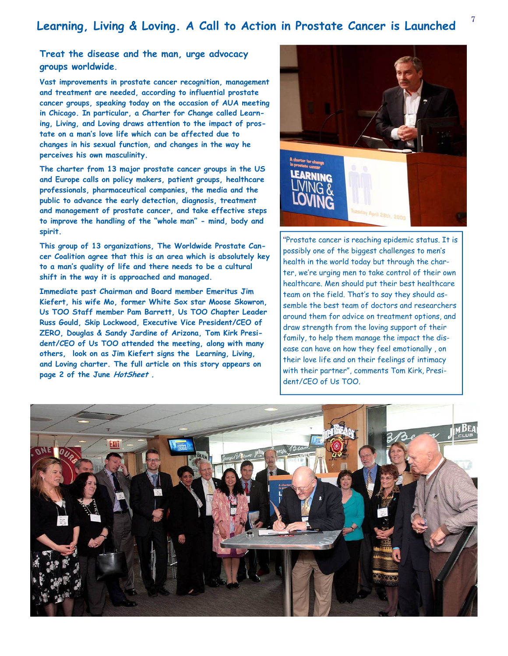# <sup>7</sup>**Learning, Living & Loving. A Call to Action in Prostate Cancer is Launched**

## **Treat the disease and the man, urge advocacy groups worldwide.**

**Vast improvements in prostate cancer recognition, management and treatment are needed, according to influential prostate cancer groups, speaking today on the occasion of AUA meeting in Chicago. In particular, a Charter for Change called Learning, Living, and Loving draws attention to the impact of prostate on a man's love life which can be affected due to changes in his sexual function, and changes in the way he perceives his own masculinity.** 

**The charter from 13 major prostate cancer groups in the US and Europe calls on policy makers, patient groups, healthcare professionals, pharmaceutical companies, the media and the public to advance the early detection, diagnosis, treatment and management of prostate cancer, and take effective steps to improve the handling of the "whole man" - mind, body and spirit.** 

**This group of 13 organizations, The Worldwide Prostate Cancer Coalition agree that this is an area which is absolutely key to a man's quality of life and there needs to be a cultural shift in the way it is approached and managed.** 

**Immediate past Chairman and Board member Emeritus Jim Kiefert, his wife Mo, former White Sox star Moose Skowron, Us TOO Staff member Pam Barrett, Us TOO Chapter Leader Russ Gould, Skip Lockwood, Executive Vice President/CEO of ZERO, Douglas & Sandy Jardine of Arizona, Tom Kirk President/CEO of Us TOO attended the meeting, along with many others, look on as Jim Kiefert signs the Learning, Living, and Loving charter. The full article on this story appears on page 2 of the June HotSheet .** 



"Prostate cancer is reaching epidemic status. It is possibly one of the biggest challenges to men's health in the world today but through the charter, we're urging men to take control of their own healthcare. Men should put their best healthcare team on the field. That's to say they should assemble the best team of doctors and researchers around them for advice on treatment options, and draw strength from the loving support of their family, to help them manage the impact the disease can have on how they feel emotionally , on their love life and on their feelings of intimacy with their partner", comments Tom Kirk, President/CEO of Us TOO.

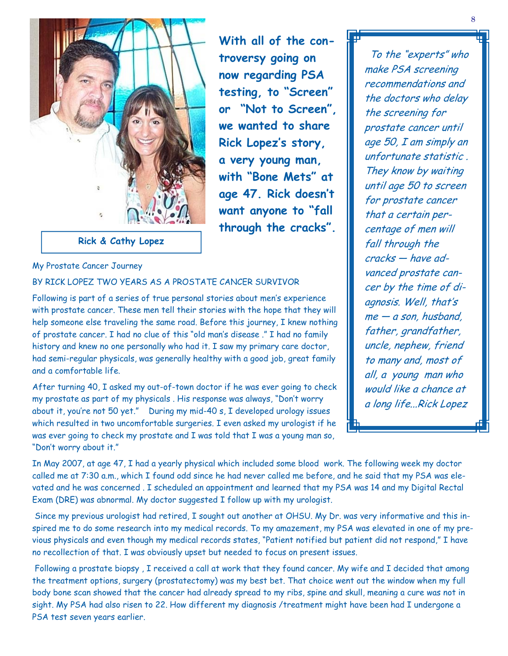

**Rick & Cathy Lopez** 

## My Prostate Cancer Journey

## BY RICK LOPEZ TWO YEARS AS A PROSTATE CANCER SURVIVOR

Following is part of a series of true personal stories about men's experience with prostate cancer. These men tell their stories with the hope that they will help someone else traveling the same road. Before this journey, I knew nothing of prostate cancer. I had no clue of this "old man's disease ." I had no family history and knew no one personally who had it. I saw my primary care doctor, had semi-regular physicals, was generally healthy with a good job, great family and a comfortable life.

After turning 40, I asked my out-of-town doctor if he was ever going to check my prostate as part of my physicals . His response was always, "Don't worry about it, you're not 50 yet." During my mid-40 s, I developed urology issues which resulted in two uncomfortable surgeries. I even asked my urologist if he was ever going to check my prostate and I was told that I was a young man so, "Don't worry about it."

 To the "experts" who make PSA screening recommendations and the doctors who delay the screening for prostate cancer until age 50, I am simply an unfortunate statistic . They know by waiting until age 50 to screen for prostate cancer that a certain percentage of men will fall through the cracks — have advanced prostate cancer by the time of diagnosis. Well, that's me — a son, husband, father, grandfather, uncle, nephew, friend to many and, most of all, a young man who would like a chance at a long life...Rick Lopez

In May 2007, at age 47, I had a yearly physical which included some blood work. The following week my doctor called me at 7:30 a.m., which I found odd since he had never called me before, and he said that my PSA was elevated and he was concerned . I scheduled an appointment and learned that my PSA was 14 and my Digital Rectal Exam (DRE) was abnormal. My doctor suggested I follow up with my urologist.

**With all of the con-**

**troversy going on** 

**now regarding PSA** 

**testing, to "Screen"** 

**or "Not to Screen",** 

**we wanted to share** 

**Rick Lopez's story,** 

**a very young man,** 

**with "Bone Mets" at** 

**age 47. Rick doesn't** 

**want anyone to "fall** 

**through the cracks".** 

 Since my previous urologist had retired, I sought out another at OHSU. My Dr. was very informative and this inspired me to do some research into my medical records. To my amazement, my PSA was elevated in one of my previous physicals and even though my medical records states, "Patient notified but patient did not respond," I have no recollection of that. I was obviously upset but needed to focus on present issues.

 Following a prostate biopsy , I received a call at work that they found cancer. My wife and I decided that among the treatment options, surgery (prostatectomy) was my best bet. That choice went out the window when my full body bone scan showed that the cancer had already spread to my ribs, spine and skull, meaning a cure was not in sight. My PSA had also risen to 22. How different my diagnosis /treatment might have been had I undergone a PSA test seven years earlier.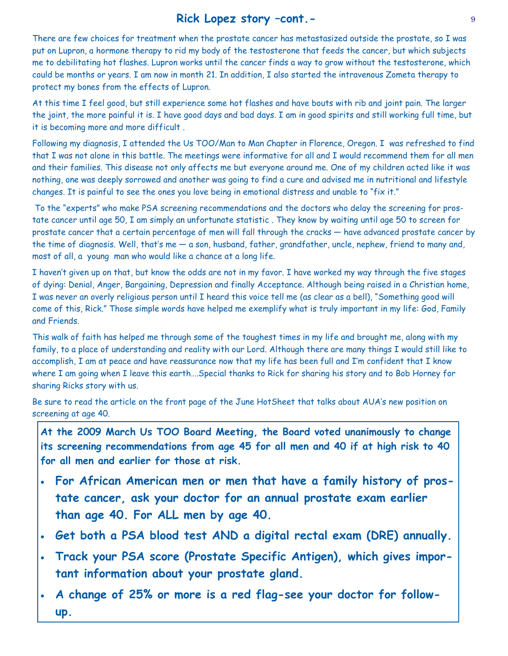# **Rick Lopez story –cont.-**

There are few choices for treatment when the prostate cancer has metastasized outside the prostate, so I was put on Lupron, a hormone therapy to rid my body of the testosterone that feeds the cancer, but which subjects me to debilitating hot flashes. Lupron works until the cancer finds a way to grow without the testosterone, which could be months or years. I am now in month 21. In addition, I also started the intravenous Zometa therapy to protect my bones from the effects of Lupron.

At this time I feel good, but still experience some hot flashes and have bouts with rib and joint pain. The larger the joint, the more painful it is. I have good days and bad days. I am in good spirits and still working full time, but it is becoming more and more difficult .

Following my diagnosis, I attended the Us TOO/Man to Man Chapter in Florence, Oregon. I was refreshed to find that I was not alone in this battle. The meetings were informative for all and I would recommend them for all men and their families. This disease not only affects me but everyone around me. One of my children acted like it was nothing, one was deeply sorrowed and another was going to find a cure and advised me in nutritional and lifestyle changes. It is painful to see the ones you love being in emotional distress and unable to "fix it."

 To the "experts" who make PSA screening recommendations and the doctors who delay the screening for prostate cancer until age 50, I am simply an unfortunate statistic . They know by waiting until age 50 to screen for prostate cancer that a certain percentage of men will fall through the cracks — have advanced prostate cancer by the time of diagnosis. Well, that's me — a son, husband, father, grandfather, uncle, nephew, friend to many and, most of all, a young man who would like a chance at a long life.

I haven't given up on that, but know the odds are not in my favor. I have worked my way through the five stages of dying: Denial, Anger, Bargaining, Depression and finally Acceptance. Although being raised in a Christian home, I was never an overly religious person until I heard this voice tell me (as clear as a bell), "Something good will come of this, Rick." Those simple words have helped me exemplify what is truly important in my life: God, Family and Friends.

This walk of faith has helped me through some of the toughest times in my life and brought me, along with my family, to a place of understanding and reality with our Lord. Although there are many things I would still like to accomplish, I am at peace and have reassurance now that my life has been full and I'm confident that I know where I am going when I leave this earth….Special thanks to Rick for sharing his story and to Bob Horney for sharing Ricks story with us.

Be sure to read the article on the front page of the June HotSheet that talks about AUA's new position on screening at age 40.

**At the 2009 March Us TOO Board Meeting, the Board voted unanimously to change its screening recommendations from age 45 for all men and 40 if at high risk to 40 for all men and earlier for those at risk.** 

- **For African American men or men that have a family history of prostate cancer, ask your doctor for an annual prostate exam earlier than age 40. For ALL men by age 40.**
- **Get both a PSA blood test AND a digital rectal exam (DRE) annually.**
- **Track your PSA score (Prostate Specific Antigen), which gives important information about your prostate gland.**
- **A change of 25% or more is a red flag-see your doctor for followup.**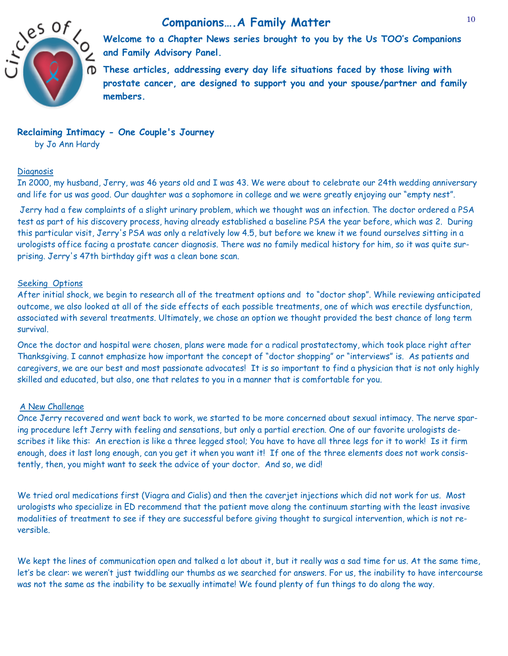



**Welcome to a Chapter News series brought to you by the Us TOO's Companions and Family Advisory Panel.** 

**These articles, addressing every day life situations faced by those living with prostate cancer, are designed to support you and your spouse/partner and family members.** 

## **Reclaiming Intimacy - One Couple's Journey**

by Jo Ann Hardy

## **Diagnosis**

In 2000, my husband, Jerry, was 46 years old and I was 43. We were about to celebrate our 24th wedding anniversary and life for us was good. Our daughter was a sophomore in college and we were greatly enjoying our "empty nest".

 Jerry had a few complaints of a slight urinary problem, which we thought was an infection. The doctor ordered a PSA test as part of his discovery process, having already established a baseline PSA the year before, which was 2. During this particular visit, Jerry's PSA was only a relatively low 4.5, but before we knew it we found ourselves sitting in a urologists office facing a prostate cancer diagnosis. There was no family medical history for him, so it was quite surprising. Jerry's 47th birthday gift was a clean bone scan.

## Seeking Options

After initial shock, we begin to research all of the treatment options and to "doctor shop". While reviewing anticipated outcome, we also looked at all of the side effects of each possible treatments, one of which was erectile dysfunction, associated with several treatments. Ultimately, we chose an option we thought provided the best chance of long term survival.

Once the doctor and hospital were chosen, plans were made for a radical prostatectomy, which took place right after Thanksgiving. I cannot emphasize how important the concept of "doctor shopping" or "interviews" is. As patients and caregivers, we are our best and most passionate advocates! It is so important to find a physician that is not only highly skilled and educated, but also, one that relates to you in a manner that is comfortable for you.

## A New Challenae

Once Jerry recovered and went back to work, we started to be more concerned about sexual intimacy. The nerve sparing procedure left Jerry with feeling and sensations, but only a partial erection. One of our favorite urologists describes it like this: An erection is like a three legged stool; You have to have all three legs for it to work! Is it firm enough, does it last long enough, can you get it when you want it! If one of the three elements does not work consistently, then, you might want to seek the advice of your doctor. And so, we did!

We tried oral medications first (Viagra and Cialis) and then the caverjet injections which did not work for us. Most urologists who specialize in ED recommend that the patient move along the continuum starting with the least invasive modalities of treatment to see if they are successful before giving thought to surgical intervention, which is not reversible.

We kept the lines of communication open and talked a lot about it, but it really was a sad time for us. At the same time, let's be clear: we weren't just twiddling our thumbs as we searched for answers. For us, the inability to have intercourse was not the same as the inability to be sexually intimate! We found plenty of fun things to do along the way.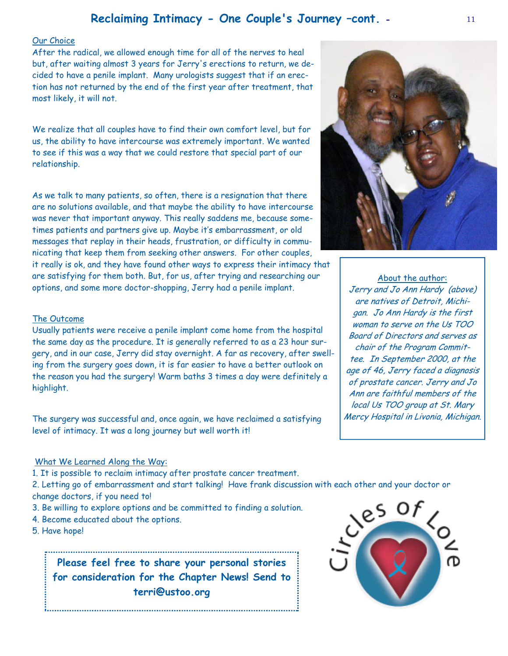# **Reclaiming Intimacy - One Couple's Journey –cont. -**

## Our Choice

After the radical, we allowed enough time for all of the nerves to heal but, after waiting almost 3 years for Jerry's erections to return, we decided to have a penile implant. Many urologists suggest that if an erection has not returned by the end of the first year after treatment, that most likely, it will not.

We realize that all couples have to find their own comfort level, but for us, the ability to have intercourse was extremely important. We wanted to see if this was a way that we could restore that special part of our relationship.

As we talk to many patients, so often, there is a resignation that there are no solutions available, and that maybe the ability to have intercourse was never that important anyway. This really saddens me, because sometimes patients and partners give up. Maybe it's embarrassment, or old messages that replay in their heads, frustration, or difficulty in communicating that keep them from seeking other answers. For other couples,

it really is ok, and they have found other ways to express their intimacy that are satisfying for them both. But, for us, after trying and researching our options, and some more doctor-shopping, Jerry had a penile implant.



Usually patients were receive a penile implant come home from the hospital the same day as the procedure. It is generally referred to as a 23 hour surgery, and in our case, Jerry did stay overnight. A far as recovery, after swelling from the surgery goes down, it is far easier to have a better outlook on the reason you had the surgery! Warm baths 3 times a day were definitely a highlight.

The surgery was successful and, once again, we have reclaimed a satisfying level of intimacy. It was a long journey but well worth it!

## What We Learned Along the Way:

1. It is possible to reclaim intimacy after prostate cancer treatment.

2. Letting go of embarrassment and start talking! Have frank discussion with each other and your doctor or change doctors, if you need to!

- 3. Be willing to explore options and be committed to finding a solution.
- 4. Become educated about the options.
- 5. Have hope!

**Please feel free to share your personal stories for consideration for the Chapter News! Send to terri@ustoo.org** 



woman to serve on the Us TOO Board of Directors and serves as chair of the Program Committee. In September 2000, at the age of 46, Jerry faced a diagnosis of prostate cancer. Jerry and Jo Ann are faithful members of the local Us TOO group at St. Mary Mercy Hospital in Livonia, Michigan.

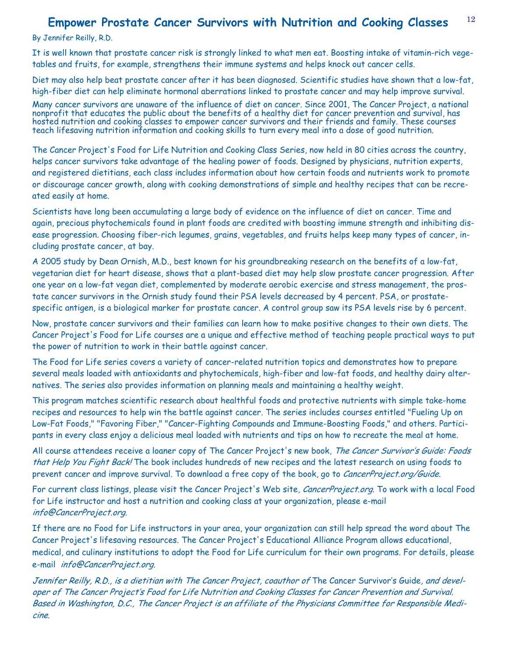#### 12 **Empower Prostate Cancer Survivors with Nutrition and Cooking Classes**

By Jennifer Reilly, R.D.

It is well known that prostate cancer risk is strongly linked to what men eat. Boosting intake of vitamin-rich vegetables and fruits, for example, strengthens their immune systems and helps knock out cancer cells.

Diet may also help beat prostate cancer after it has been diagnosed. Scientific studies have shown that a low-fat, high-fiber diet can help eliminate hormonal aberrations linked to prostate cancer and may help improve survival.

Many cancer survivors are unaware of the influence of diet on cancer. Since 2001, The Cancer Project, a national nonprofit that educates the public about the benefits of a healthy diet for cancer prevention and survival, has hosted nutrition and cooking classes to empower cancer survivors and their friends and family. These courses teach lifesaving nutrition information and cooking skills to turn every meal into a dose of good nutrition.

The Cancer Project's Food for Life Nutrition and Cooking Class Series, now held in 80 cities across the country, helps cancer survivors take advantage of the healing power of foods. Designed by physicians, nutrition experts, and registered dietitians, each class includes information about how certain foods and nutrients work to promote or discourage cancer growth, along with cooking demonstrations of simple and healthy recipes that can be recreated easily at home.

Scientists have long been accumulating a large body of evidence on the influence of diet on cancer. Time and again, precious phytochemicals found in plant foods are credited with boosting immune strength and inhibiting disease progression. Choosing fiber-rich legumes, grains, vegetables, and fruits helps keep many types of cancer, including prostate cancer, at bay.

A 2005 study by Dean Ornish, M.D., best known for his groundbreaking research on the benefits of a low-fat, vegetarian diet for heart disease, shows that a plant-based diet may help slow prostate cancer progression. After one year on a low-fat vegan diet, complemented by moderate aerobic exercise and stress management, the prostate cancer survivors in the Ornish study found their PSA levels decreased by 4 percent. PSA, or prostatespecific antigen, is a biological marker for prostate cancer. A control group saw its PSA levels rise by 6 percent.

Now, prostate cancer survivors and their families can learn how to make positive changes to their own diets. The Cancer Project's Food for Life courses are a unique and effective method of teaching people practical ways to put the power of nutrition to work in their battle against cancer.

The Food for Life series covers a variety of cancer-related nutrition topics and demonstrates how to prepare several meals loaded with antioxidants and phytochemicals, high-fiber and low-fat foods, and healthy dairy alternatives. The series also provides information on planning meals and maintaining a healthy weight.

This program matches scientific research about healthful foods and protective nutrients with simple take-home recipes and resources to help win the battle against cancer. The series includes courses entitled "Fueling Up on Low-Fat Foods," "Favoring Fiber," "Cancer-Fighting Compounds and Immune-Boosting Foods," and others. Participants in every class enjoy a delicious meal loaded with nutrients and tips on how to recreate the meal at home.

All course attendees receive a loaner copy of The Cancer Project's new book, The Cancer Survivor's Guide: Foods that Help You Fight Back! The book includes hundreds of new recipes and the latest research on using foods to prevent cancer and improve survival. To download a free copy of the book, go to CancerProject.org/Guide.

For current class listings, please visit the Cancer Project's Web site, CancerProject.org. To work with a local Food for Life instructor and host a nutrition and cooking class at your organization, please e-mail info@CancerProject.org.

If there are no Food for Life instructors in your area, your organization can still help spread the word about The Cancer Project's lifesaving resources. The Cancer Project's Educational Alliance Program allows educational, medical, and culinary institutions to adopt the Food for Life curriculum for their own programs. For details, please e-mail info@CancerProject.org.

Jennifer Reilly, R.D., is a dietitian with The Cancer Project, coauthor of The Cancer Survivor's Guide, and developer of The Cancer Project's Food for Life Nutrition and Cooking Classes for Cancer Prevention and Survival. Based in Washington, D.C., The Cancer Project is an affiliate of the Physicians Committee for Responsible Medicine.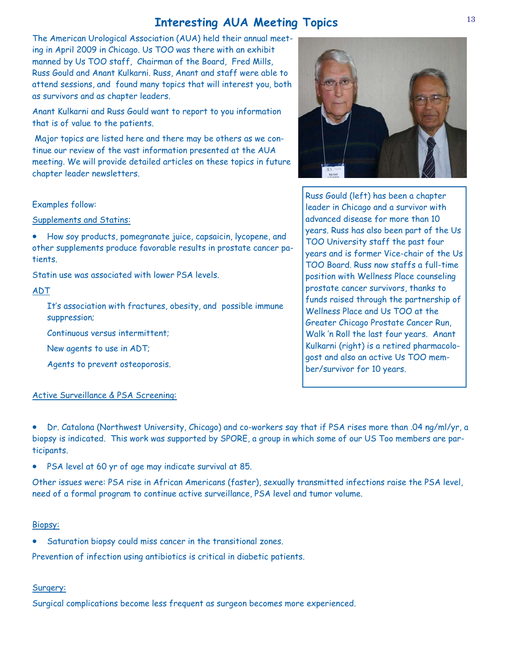# **Interesting AUA Meeting Topics**

The American Urological Association (AUA) held their annual meeting in April 2009 in Chicago. Us TOO was there with an exhibit manned by Us TOO staff, Chairman of the Board, Fred Mills, Russ Gould and Anant Kulkarni. Russ, Anant and staff were able to attend sessions, and found many topics that will interest you, both as survivors and as chapter leaders.

Anant Kulkarni and Russ Gould want to report to you information that is of value to the patients.

 Major topics are listed here and there may be others as we continue our review of the vast information presented at the AUA meeting. We will provide detailed articles on these topics in future chapter leader newsletters.

## Examples follow:

Supplements and Statins:

• How soy products, pomegranate juice, capsaicin, lycopene, and other supplements produce favorable results in prostate cancer patients.

Statin use was associated with lower PSA levels.

## ADT

It's association with fractures, obesity, and possible immune suppression;

Continuous versus intermittent;

New agents to use in ADT;

Agents to prevent osteoporosis.

## Active Surveillance & PSA Screening:

• Dr. Catalona (Northwest University, Chicago) and co-workers say that if PSA rises more than .04 ng/ml/yr, a biopsy is indicated. This work was supported by SPORE, a group in which some of our US Too members are participants.

• PSA level at 60 yr of age may indicate survival at 85.

Other issues were: PSA rise in African Americans (faster), sexually transmitted infections raise the PSA level, need of a formal program to continue active surveillance, PSA level and tumor volume.

## Biopsy:

• Saturation biopsy could miss cancer in the transitional zones.

Prevention of infection using antibiotics is critical in diabetic patients.

## Surgery:

Surgical complications become less frequent as surgeon becomes more experienced.



Russ Gould (left) has been a chapter leader in Chicago and a survivor with advanced disease for more than 10 years. Russ has also been part of the Us TOO University staff the past four years and is former Vice-chair of the Us TOO Board. Russ now staffs a full-time position with Wellness Place counseling prostate cancer survivors, thanks to funds raised through the partnership of Wellness Place and Us TOO at the Greater Chicago Prostate Cancer Run, Walk 'n Roll the last four years. Anant Kulkarni (right) is a retired pharmacologost and also an active Us TOO member/survivor for 10 years.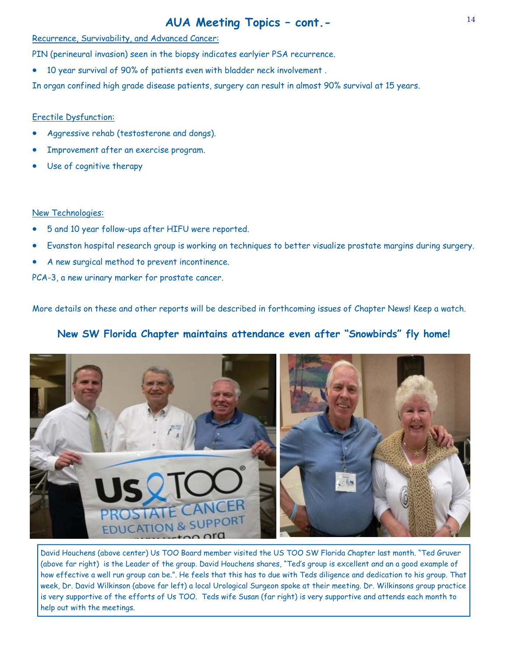# **AUA Meeting Topics – cont.-**

## Recurrence, Survivability, and Advanced Cancer:

PIN (perineural invasion) seen in the biopsy indicates earlyier PSA recurrence.

• 10 year survival of 90% of patients even with bladder neck involvement .

In organ confined high grade disease patients, surgery can result in almost 90% survival at 15 years.

## Erectile Dysfunction:

- Aggressive rehab (testosterone and dongs).
- Improvement after an exercise program.
- Use of cognitive therapy

## New Technologies:

- 5 and 10 year follow-ups after HIFU were reported.
- Evanston hospital research group is working on techniques to better visualize prostate margins during surgery.
- A new surgical method to prevent incontinence.

PCA-3, a new urinary marker for prostate cancer.

More details on these and other reports will be described in forthcoming issues of Chapter News! Keep a watch.

# **New SW Florida Chapter maintains attendance even after "Snowbirds" fly home!**



David Houchens (above center) Us TOO Board member visited the US TOO SW Florida Chapter last month. "Ted Gruver (above far right) is the Leader of the group. David Houchens shares, "Ted's group is excellent and an a good example of how effective a well run group can be.". He feels that this has to due with Teds diligence and dedication to his group. That week, Dr. David Wilkinson (above far left) a local Urological Surgeon spoke at their meeting. Dr. Wilkinsons group practice is very supportive of the efforts of Us TOO. Teds wife Susan (far right) is very supportive and attends each month to help out with the meetings.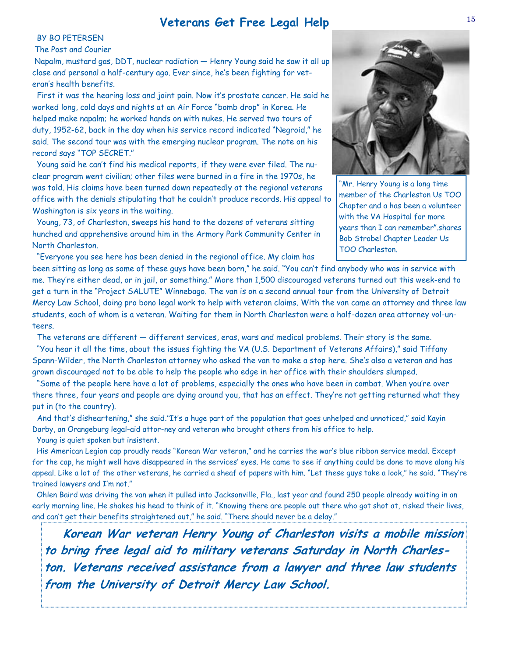## **Veterans Get Free Legal Help**

## BY BO PETERSEN

### The Post and Courier

 Napalm, mustard gas, DDT, nuclear radiation — Henry Young said he saw it all up close and personal a half-century ago. Ever since, he's been fighting for veteran's health benefits.

 First it was the hearing loss and joint pain. Now it's prostate cancer. He said he worked long, cold days and nights at an Air Force "bomb drop" in Korea. He helped make napalm; he worked hands on with nukes. He served two tours of duty, 1952-62, back in the day when his service record indicated "Negroid," he said. The second tour was with the emerging nuclear program. The note on his record says "TOP SECRET."

 Young said he can't find his medical reports, if they were ever filed. The nuclear program went civilian; other files were burned in a fire in the 1970s, he was told. His claims have been turned down repeatedly at the regional veterans office with the denials stipulating that he couldn't produce records. His appeal to Washington is six years in the waiting.

 Young, 73, of Charleston, sweeps his hand to the dozens of veterans sitting hunched and apprehensive around him in the Armory Park Community Center in North Charleston.

"Everyone you see here has been denied in the regional office. My claim has



"Mr. Henry Young is a long time member of the Charleston Us TOO Chapter and a has been a volunteer with the VA Hospital for more years than I can remember".shares Bob Strobel Chapter Leader Us TOO Charleston.

been sitting as long as some of these guys have been born," he said. "You can't find anybody who was in service with me. They're either dead, or in jail, or something." More than 1,500 discouraged veterans turned out this week-end to get a turn in the "Project SALUTE" Winnebago. The van is on a second annual tour from the University of Detroit Mercy Law School, doing pro bono legal work to help with veteran claims. With the van came an attorney and three law students, each of whom is a veteran. Waiting for them in North Charleston were a half-dozen area attorney vol-unteers.

The veterans are different — different services, eras, wars and medical problems. Their story is the same.

 "You hear it all the time, about the issues fighting the VA (U.S. Department of Veterans Affairs)," said Tiffany Spann-Wilder, the North Charleston attorney who asked the van to make a stop here. She's also a veteran and has grown discouraged not to be able to help the people who edge in her office with their shoulders slumped.

 "Some of the people here have a lot of problems, especially the ones who have been in combat. When you're over there three, four years and people are dying around you, that has an effect. They're not getting returned what they put in (to the country).

 And that's disheartening," she said."It's a huge part of the population that goes unhelped and unnoticed," said Kayin Darby, an Orangeburg legal-aid attor-ney and veteran who brought others from his office to help.

Young is quiet spoken but insistent.

 His American Legion cap proudly reads "Korean War veteran," and he carries the war's blue ribbon service medal. Except for the cap, he might well have disappeared in the services' eyes. He came to see if anything could be done to move along his appeal. Like a lot of the other veterans, he carried a sheaf of papers with him. "Let these guys take a look," he said. "They're trained lawyers and I'm not."

 Ohlen Baird was driving the van when it pulled into Jacksonville, Fla., last year and found 250 people already waiting in an early morning line. He shakes his head to think of it. "Knowing there are people out there who got shot at, risked their lives, and can't get their benefits straightened out," he said. "There should never be a delay."

 **Korean War veteran Henry Young of Charleston visits a mobile mission to bring free legal aid to military veterans Saturday in North Charleston. Veterans received assistance from a lawyer and three law students from the University of Detroit Mercy Law School.**